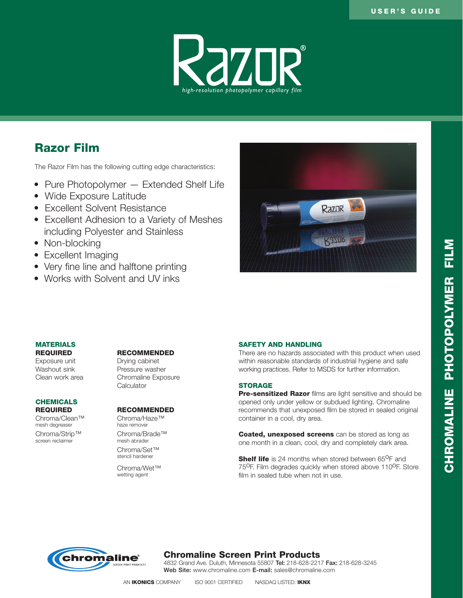

# Razor Film

The Razor Film has the following cutting edge characteristics:

- Pure Photopolymer Extended Shelf Life
- Wide Exposure Latitude
- Excellent Solvent Resistance
- Excellent Adhesion to a Variety of Meshes including Polyester and Stainless
- Non-blocking
- Excellent Imaging
- Very fine line and halftone printing
- Works with Solvent and UV inks



### **MATERIALS**

Exposure unit Farmic Drying cabinet<br>
Washout sink Fressure wash

# **CHEMICALS**

mesh degreaser

screen reclaimer

#### REQUIRED RECOMMENDED

Pressure washer Clean work area Chromaline Exposure **Calculator** 

#### REQUIRED RECOMMENDED

Chroma/Clean™ Chroma/Haze™<br>mesh degreaser haze remover Chroma/Strip™ Chroma/Brade™<br>screen reclaimer mesh abrader

> Chroma/Set™ stencil hardener

Chroma/Wet™ wetting agent

#### SAFETY AND HANDLING

There are no hazards associated with this product when used within reasonable standards of industrial hygiene and safe working practices. Refer to MSDS for further information.

#### **STORAGE**

Pre-sensitized Razor films are light sensitive and should be opened only under yellow or subdued lighting. Chromaline recommends that unexposed film be stored in sealed original container in a cool, dry area.

**Coated, unexposed screens** can be stored as long as one month in a clean, cool, dry and completely dark area.

**Shelf life** is 24 months when stored between  $65^{\circ}$ F and 75<sup>O</sup>F. Film degrades quickly when stored above 110<sup>O</sup>F. Store film in sealed tube when not in use.



## Chromaline Screen Print Products

4832 Grand Ave. Duluth, Minnesota 55807 Tel: 218-628-2217 Fax: 218-628-3245 Web Site: www.chromaline.com E-mail: sales@chromaline.com